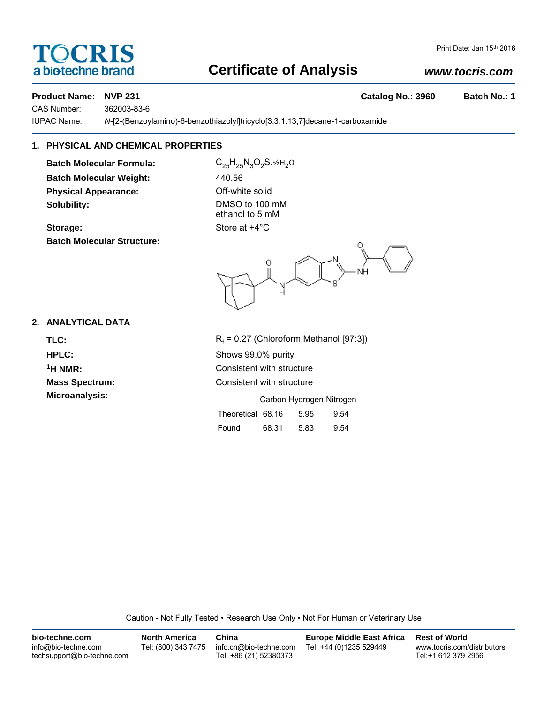# TOCRIS a biotechne brand

# **Certificate of Analysis**

# *www.tocris.com*

### **Product Name: NVP 231 Catalog No.: 3960 Batch No.: 1**

CAS Number: 362003-83-6

IUPAC Name: *N*-[2-(Benzoylamino)-6-benzothiazolyl]tricyclo[3.3.1.13,7]decane-1-carboxamide

# **1. PHYSICAL AND CHEMICAL PROPERTIES**

**Batch Molecular Formula:** C<sub>25</sub>H<sub>25</sub>N<sub>3</sub>O<sub>2</sub>S.<sup>12H</sup><sub>2</sub>O **Batch Molecular Weight:** 440.56 **Physical Appearance: Contract Contract Off-white solid Solubility:** DMSO to 100 mM

**Batch Molecular Structure:**

ethanol to 5 mM **Storage:** Store at  $+4^{\circ}$ C

.<br>NH N

## **2. ANALYTICAL DATA**

TLC: R<sub>f</sub>

 $R_f$  = 0.27 (Chloroform:Methanol [97:3]) **HPLC:** Shows 99.0% purity **1H NMR:** Consistent with structure **Mass Spectrum:** Consistent with structure **Microanalysis:** Microanalysis: Carbon Hydrogen Nitrogen

| Theoretical 68.16 |       | 5.95 | 9.54 |
|-------------------|-------|------|------|
| Found             | 68.31 | 5.83 | 9.54 |

Caution - Not Fully Tested • Research Use Only • Not For Human or Veterinary Use

| bio-techne.com                                    | <b>North America</b> | China                                            | <b>Europe Middle East Africa</b> | <b>Rest of World</b>                               |
|---------------------------------------------------|----------------------|--------------------------------------------------|----------------------------------|----------------------------------------------------|
| info@bio-techne.com<br>techsupport@bio-techne.com | Tel: (800) 343 7475  | info.cn@bio-techne.com<br>Tel: +86 (21) 52380373 | Tel: +44 (0)1235 529449          | www.tocris.com/distributors<br>Tel:+1 612 379 2956 |